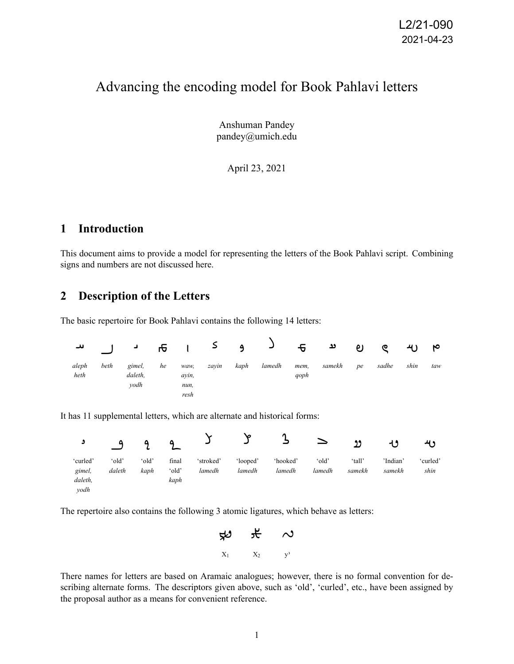# Advancing the encoding model for Book Pahlavi letters

Anshuman Pandey pandey@umich.edu

April 23, 2021

#### **1 Introduction**

This document aims to provide a model for representing the letters of the Book Pahlavi script. Combining signs and numbers are not discussed here.

#### **2 Description of the Letters**

The basic repertoire for Book Pahlavi contains the following 14 letters:

| ا س           | $\blacksquare$ | $\overline{a}$ and $\overline{b}$ |    |               | و ک   |      | ہ ہے د |              |        | ಲ  | ୧     | ىبر  | ю   |
|---------------|----------------|-----------------------------------|----|---------------|-------|------|--------|--------------|--------|----|-------|------|-----|
| aleph<br>heth | beth           | gimel,<br>daleth.<br>vodh         | he | waw,<br>avin. | zavin | kaph | lamedh | mem,<br>qoph | samekh | pe | sadhe | shin | taw |
|               |                |                                   |    | nun,<br>resh  |       |      |        |              |        |    |       |      |     |

It has 11 supplemental letters, which are alternate and historical forms:



The repertoire also contains the following 3 atomic ligatures, which behave as letters:



There names for letters are based on Aramaic analogues; however, there is no formal convention for describing alternate forms. The descriptors given above, such as 'old', 'curled', etc., have been assigned by the proposal author as a means for convenient reference.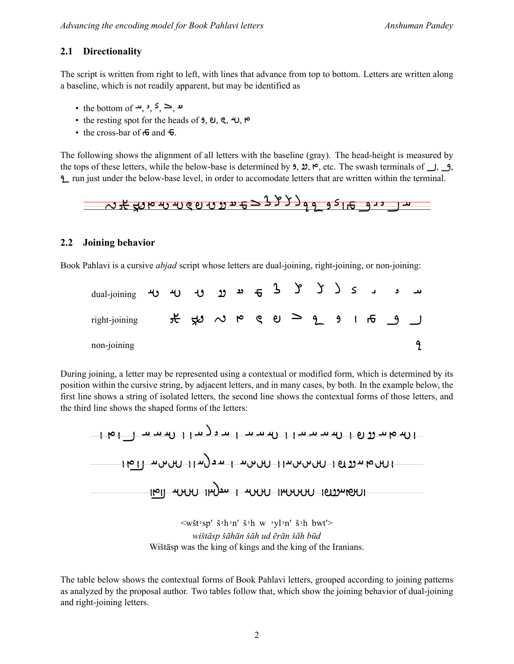#### **2.1 Directionality**

The script is written from right to left, with lines that advance from top to bottom. Letters are written along a baseline, which is not readily apparent, but may be identified as

- the bottom of  $\rightarrow$ ,  $\rightarrow$ ,  $\leq$ ,  $\geq$ ,  $\rightarrow$
- the resting spot for the heads of  $9$ ,  $9$ ,  $9$ ,  $\div$ ,  $\triangleright$
- the cross-bar of  $\sigma$  and  $\sigma$ .

The following shows the alignment of all letters with the baseline (gray). The head-height is measured by the tops of these letters, while the below-base is determined by **3**,  $\mathfrak{D}$ ,  $\mathfrak{S}$ , etc. The swash terminals of  $\Box$ ,  $\Box$ , run just under the below-base level, in order to accomodate letters that are written within the terminal.

$$
32 + 24
$$

#### **2.2 Joining behavior**

Book Pahlavi is a cursive *abjad* script whose letters are dual-joining, right-joining, or non-joining:

| dual-joining  |  |  |  |  |  |  | س و ر ک ( ک ( ک ن و و و و و س و س |  |
|---------------|--|--|--|--|--|--|-----------------------------------|--|
| right-joining |  |  |  |  |  |  |                                   |  |
| non-joining   |  |  |  |  |  |  |                                   |  |

During joining, a letter may be represented using a contextual or modified form, which is determined by its position within the cursive string, by adjacent letters, and in many cases, by both. In the example below, the first line shows a string of isolated letters, the second line shows the contextual forms of those letters, and the third line shows the shaped forms of the letters:



 $\langle w \check{\mathbf{x}} \rangle$ :  $\check{\mathbf{s}}$   $\rangle$   $\mathbf{h}$   $\mathbf{w}$   $\mathbf{v}$   $\mathbf{v}$   $\mathbf{h}$   $\mathbf{w}'$   $\mathbf{v}$   $\mathbf{h}$   $\mathbf{w}'$   $\mathbf{v}'$   $\mathbf{h}$   $\mathbf{w}'$   $\mathbf{v}'$   $\mathbf{h}$   $\mathbf{v}'$   $\mathbf{h}$   $\mathbf{v}'$   $\mathbf{v}'$   $\mathbf{h}$   $\mathbf{v}'$   $\mathbf{v}'$  *wištāsp šāhān šāh ud ērān šāh būd* Wištāsp was the king of kings and the king of the Iranians.

The table below shows the contextual forms of Book Pahlavi letters, grouped according to joining patterns as analyzed by the proposal author. Two tables follow that, which show the joining behavior of dual-joining and right-joining letters.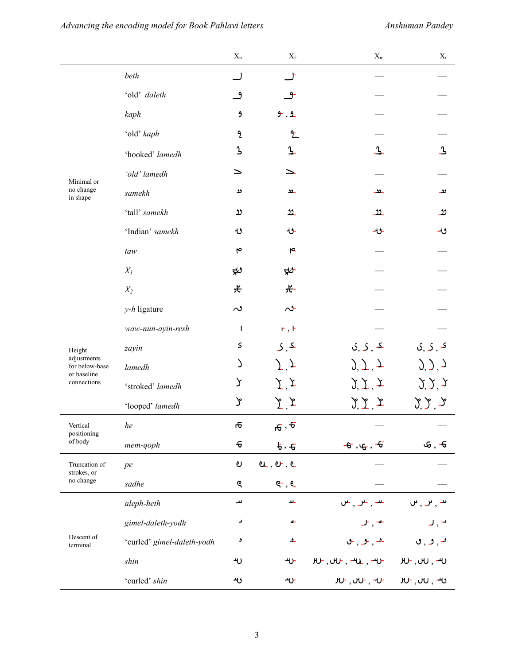|                                              |                            | $\mathbf{X}_\mathrm{n}$             | $X_{\rm f}$                               | $X_{\rm m}$                                | $X_{\rm i}$                                |
|----------------------------------------------|----------------------------|-------------------------------------|-------------------------------------------|--------------------------------------------|--------------------------------------------|
|                                              | beth                       |                                     |                                           |                                            |                                            |
|                                              | 'old' daleth               | ٯ                                   | -و                                        |                                            |                                            |
|                                              | kaph                       | و                                   | 9, 1                                      |                                            |                                            |
|                                              | 'old' kaph                 | L                                   | 玍                                         |                                            |                                            |
|                                              | 'hooked' lamedh            | λ                                   | $\mathbf{z}$                              | $\Delta$                                   | $\overline{1}$                             |
| Minimal or                                   | 'old' lamedh               | ≥                                   | ↘                                         |                                            |                                            |
| no change<br>in shape                        | samekh                     | دد                                  | ےد                                        | ےدد_                                       | ىد                                         |
|                                              | 'tall' samekh              | رد                                  | 22                                        | <u>_99</u>                                 | رو                                         |
|                                              | 'Indian' samekh            | ڻ                                   | ひ                                         | -ن-                                        | ں۔                                         |
|                                              | taw                        | ۴                                   | $\overline{r}$                            |                                            |                                            |
|                                              | $X_I$                      | رىپو                                | ≉ಿ                                        |                                            |                                            |
|                                              | $X_2$                      | 仧                                   | 仧                                         |                                            |                                            |
|                                              | $y-h$ ligature             | $\sim$                              | $\sim$                                    |                                            |                                            |
|                                              | waw-nun-ayin-resh          | ŧ                                   | $r$ , $\vdash$                            |                                            |                                            |
| Height                                       | zayin                      | S                                   | 5, 5                                      | $\mathcal{S}, \mathcal{S}, \mathcal{S}$    | <b>ک</b> , ک, ک                            |
| adjustments<br>for below-base<br>or baseline | lamedh                     | Č                                   | $\overline{J}$ $\overline{J}$             | $\sum_{i=1}^{n}$                           | $(0, 1)$ , $(2, 1)$                        |
| connections                                  | 'stroked' lamedh           | λ                                   | $\overline{\chi}$ $\overline{\chi}$       | $\mathcal{Y}, \mathcal{Y}, \mathcal{Y}$    | $\mathcal{Y}, \mathcal{Y}, \mathcal{Y}$    |
|                                              | 'looped' lamedh            | ን                                   | $\Sigma$ ,                                | $\mathfrak{Z}, \mathfrak{Z}, \mathfrak{Z}$ | $\zeta$ , $\zeta$                          |
| Vertical<br>positioning                      | he                         | ъ                                   | $\overline{\sigma}$ , $\overline{\sigma}$ |                                            |                                            |
| of body                                      | mem-qoph                   | $\mathbf{\textcolor{red}{\bullet}}$ | $\frac{1}{2}$ , $\frac{1}{2}$             | $-\xi$ , $\psi$ , $-\xi$                   | $\mathfrak{S}$ , $\mathfrak{\textbf{-G}}$  |
| Truncation of<br>strokes, or                 | pe                         | ಲ                                   | $e$ , $e$ , $e$                           |                                            |                                            |
| no change                                    | sadhe                      | ୧                                   | $e-$ , $e-$                               |                                            |                                            |
|                                              | aleph-heth                 | ىد                                  | $\Delta L$                                | $     -$                                   | $\mathbf{u}_1, \mathbf{v}_2, \mathbf{v}_3$ |
|                                              | gimel-daleth-yodh          | د                                   | ᆂ                                         | $\mathsf{J}$ , $\mathsf{+}$                |                                            |
| Descent of<br>terminal                       | 'curled' gimel-daleth-yodh | و                                   | ے                                         | $-$ , $-$ , $-$                            | $\bullet$ , $\bullet$ , $\bullet$          |
|                                              | shin                       | ન∪                                  | ᠰ                                         | $H$ , $H$ , $H$ , $H$ , $H$                | $\tt w$ , $\tt w$ , $\tt w$                |
|                                              | 'curled' shin              | ىب                                  | ≁ب                                        | <b>JU-, JU-, -U-</b>                       | w , w , w                                  |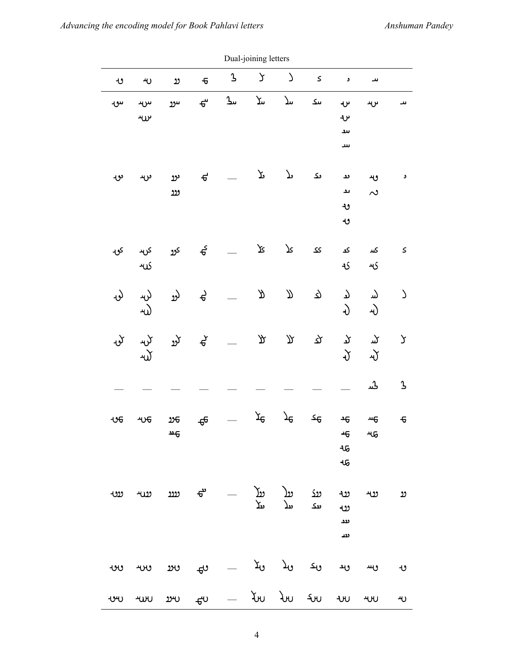|                 | Dual-joining letters                       |                                                                     |                                                                        |             |               |                     |                           |                                     |               |                           |
|-----------------|--------------------------------------------|---------------------------------------------------------------------|------------------------------------------------------------------------|-------------|---------------|---------------------|---------------------------|-------------------------------------|---------------|---------------------------|
| و۔              | ۳                                          | رر                                                                  | $\overline{\sigma}$                                                    | $\mathbf 3$ | У             | $\Delta$            | $\boldsymbol{\mathsf{S}}$ | و                                   | ىد            |                           |
| س∙              | س<br>$\nu$ ل                               | سوو                                                                 | $\mathbf{e}$                                                           | ىك          | Συ            | سلا                 | ىىك                       | ىر<br>ىرد<br>ىىد<br>سد              | ىر بد         | ىد                        |
| ىر              | ىرىد                                       | ىرو<br>روو                                                          | $\mathbf{f}$                                                           |             | $\mathcal{F}$ | $\mathcal{P}$       | ىك                        | ئٹ<br>ىد<br>ٯ<br>ٯ                  | وبد<br>$\sim$ | و                         |
| کۍ              | کله                                        | کړو کړید                                                            | $\frac{5}{9}$                                                          |             | Σ٢            | $\mathcal{F}% _{0}$ | کک                        | کد<br>$\mathcal{L}$                 | کىد<br>ىد     | $\boldsymbol{\mathsf{S}}$ |
| نۍ              | لۍ<br>$\omega$                             | لرو                                                                 | $\theta$                                                               |             | R             | Л                   | ৫                         | $\mathcal{T}$<br>G.                 | لىد<br>4)     | $\Delta$                  |
| $\mathcal{L}$ ৮ |                                            | $\begin{pmatrix} 1 & 1 & 1 \\ 1 & 1 & 1 \\ 1 & 1 & 1 \end{pmatrix}$ |                                                                        |             | у             | $\mathbbm{R}$       | ঽ                         | $\mathcal{P}$<br>$\mathfrak{J}$     | کر<br>心       | $\mathsf{\mathsf{y}}$     |
|                 |                                            |                                                                     |                                                                        |             |               |                     |                           |                                     | ݣﯩﺮ           | $\mathbf 3$               |
| ಀ೯              | ᠊ᡃᡃᡃᢗᡉ                                     | 26<br>স্ਦ                                                           | $\mathbf{\theta}$                                                      |             | ᡏᠣ            | $\mathcal{F}$       | 9ک                        | $\overline{46}$<br>46<br>ೊ<br>ન્દ્વ | щ<br>ન્પઉ     | $\overline{6}$            |
|                 |                                            |                                                                     | ىنك بىلا بىلا — <del>ت</del> ە نىند نىنى <sup>د</sup><br>بىك بىلا بىلا |             |               |                     |                           | ಀ<br>$\ddot{\omega}$<br>ىدد<br>ىىد  | ريد           | رو                        |
|                 |                                            |                                                                     |                                                                        |             |               |                     |                           | ىد                                  | ىس            | و                         |
|                 | שיט ישט שיט ביט $\sim$ לאט לאט גאט יאט ישט |                                                                     |                                                                        |             |               |                     |                           |                                     |               | ىبر                       |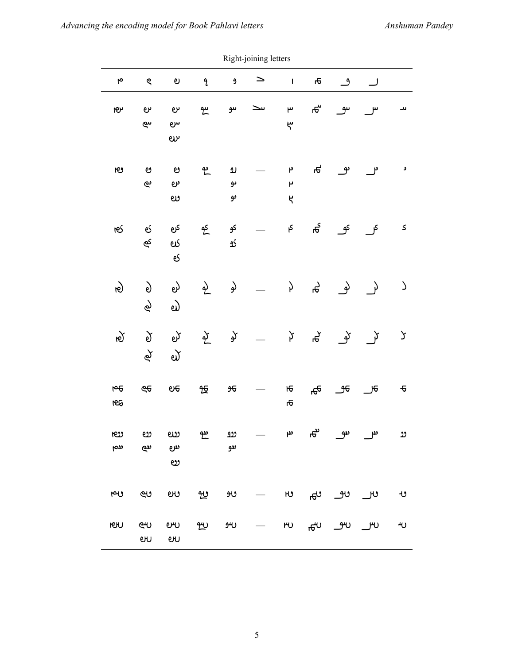|                       |                      |                      |                               |                      | Right-joining letters |                   |                            |                  |               |                           |
|-----------------------|----------------------|----------------------|-------------------------------|----------------------|-----------------------|-------------------|----------------------------|------------------|---------------|---------------------------|
| $\blacktriangleright$ | ୧                    | ಲ                    | $\mathfrak{p}$                | $\pmb{\mathfrak{H}}$ | $\geq$                | $\mathbf{I}$      | Æ                          | ڡ                | ل             |                           |
| ١Ç٢                   | ىرە<br>سى            | ىرە<br>س<br>$\omega$ | سم                            | سو                   | سد                    | ۳<br>ᢞ            | ക്                         | سى               |               | ىد                        |
| ٤                     | ಅ<br>بع              | ಅ<br>ىرە<br>లు       | مع                            | رو<br>ىو<br>ىو       |                       | م<br>۲<br>$\zeta$ | Æ                          | ؈                | م -           | و                         |
| ٦es                   | ల్<br>ھ              | کرم<br>es<br>ల్      | عو                            | کو<br>ى              |                       | ې                 | ಕ್ಗ                        | کو               | کل            | $\boldsymbol{\mathsf{S}}$ |
| $\hat{\mathbf{e}}$    | $\mathfrak{g}$<br>لھ | ಲ<br>ಲ               | $\frac{\partial}{\partial x}$ | لو                   |                       | þ                 | ራ<br>ሕ                     | لم               | $\rightarrow$ | $\mathcal{L}$             |
| $\mathfrak{g}$        | $\delta$<br>φ        | ల్<br>ี่ยั           | $\sum_{i=1}^{N}$              | کو                   |                       | þ                 | ች<br>ት                     | للم              | $\rightarrow$ | У                         |
| $\overline{5}$<br>١e  | ල $\epsilon$         | e <sub>e</sub>       | 饭                             | 96                   |                       | Ю<br>ъ            | ᠲ                          | _೨೯              | <u>ு</u>      | $\pmb{\cdot}$             |
| œυ<br>ىنم             | ಀ<br>ىيى             | ಲು<br>ىىرە<br>లు     | يو                            | <u>ເນ</u><br>ىدو     |                       | مم                | ಕ್                         | س س              |               | ָט                        |
| بص                    | ون                   | ಲು                   | 也                             | وبو                  |                       |                   | $v_{\overline{\theta}}$ or | ںو_              | ್ರಲ           | ٯ                         |
| <b>ISIT</b>           | ლ<br>eru             | <b>eru</b><br>ஸ      | <u>າ″∪</u>                    | ىبو                  |                       | $\mu_{\rm U}$     |                            | <del>ి</del> ల అ | ျာပ           | ٣U                        |

p<br>Right-joining lot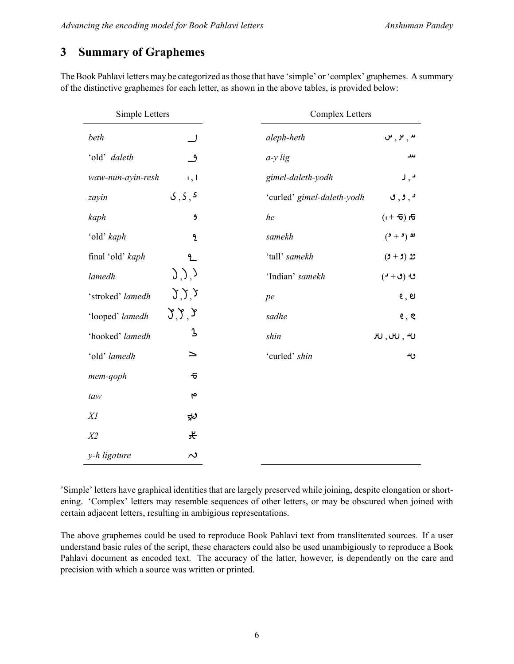## **3 Summary of Graphemes**

The Book Pahlavi letters may be categorized as those that have 'simple' or 'complex' graphemes. A summary of the distinctive graphemes for each letter, as shown in the above tables, is provided below:

| Simple Letters    |                                         | <b>Complex Letters</b>     |                                      |
|-------------------|-----------------------------------------|----------------------------|--------------------------------------|
| beth              |                                         | aleph-heth                 | $\mathsf{u},\mathsf{v},\mathsf{u}$   |
| 'old' daleth      | $^{\circ}$                              | $a-y$ lig                  | سد                                   |
| waw-nun-ayin-resh | 1,1                                     | gimel-daleth-yodh          | د , ر                                |
| zayin             | 5, 5, 5                                 | 'curled' gimel-daleth-yodh | $\epsilon, \epsilon, \epsilon$       |
| kaph              | و                                       | he                         | $\vec{\theta}$ ( $\vec{\theta}$ + i) |
| 'old' kaph        | $\mathbf{a}$                            | samekh                     | $(2 + 1)$ ند                         |
| final 'old' kaph  | 9                                       | 'tall' samekh              | $(3 + 5)$ 22                         |
| lamedh            | $\langle \, \rangle, \rangle$           | 'Indian' samekh            | $($ ປ+ປ) ປ                           |
| 'stroked' lamedh  | (3, 5, 5)                               | pe                         | e, e                                 |
| 'looped' lamedh   | $\mathcal{L}, \mathcal{L}, \mathcal{L}$ | sadhe                      | e, e                                 |
| 'hooked' lamedh   | $\mathbf 3$                             | shin                       | H, H, H                              |
| 'old' lamedh      | ≥                                       | 'curled' shin              | ربه                                  |
| mem-qoph          | ᠊ᠲ                                      |                            |                                      |
| taw               | ۴                                       |                            |                                      |
| XI                | ಳು                                      |                            |                                      |
| X <sub>2</sub>    | 仧                                       |                            |                                      |
| y-h ligature      | $\sim$                                  |                            |                                      |

'Simple' letters have graphical identities that are largely preserved while joining, despite elongation or shortening. 'Complex' letters may resemble sequences of other letters, or may be obscured when joined with certain adjacent letters, resulting in ambigious representations.

The above graphemes could be used to reproduce Book Pahlavi text from transliterated sources. If a user understand basic rules of the script, these characters could also be used unambigiously to reproduce a Book Pahlavi document as encoded text. The accuracy of the latter, however, is dependently on the care and precision with which a source was written or printed.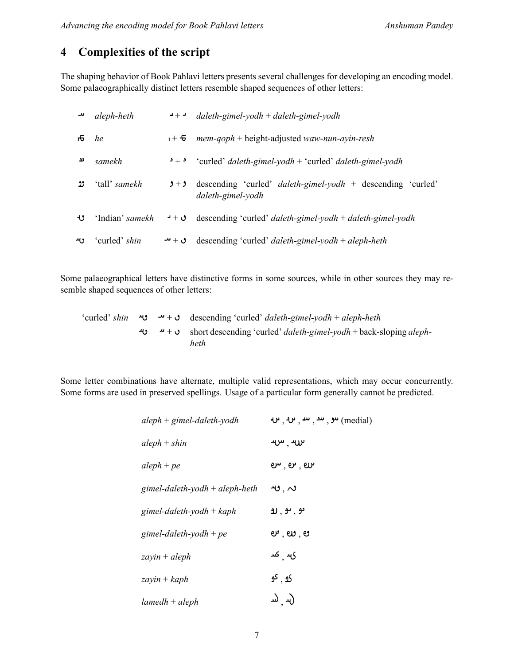#### **4 Complexities of the script**

The shaping behavior of Book Pahlavi letters presents several challenges for developing an encoding model. Some palaeographically distinct letters resemble shaped sequences of other letters:

|                | aleph-heth           | $\bullet + \bullet$       | $daleth$ -gimel-yodh + daleth-gimel-yodh                                                |
|----------------|----------------------|---------------------------|-----------------------------------------------------------------------------------------|
| $\overline{6}$ | he                   | $\mathbf{r} + \mathbf{e}$ | $mem-qoph + height-adjusted$ waw-nun-ayin-resh                                          |
| ئڈ             | samekh               | و $_{+}$ و                | 'curled' daleth-gimel-yodh + 'curled' daleth-gimel-yodh                                 |
| ນ              | 'tall' <i>samekh</i> | $9 + 9$                   | descending 'curled' <i>daleth-gimel-yodh</i> + descending 'curled'<br>daleth-gimel-yodh |
| ل+             | 'Indian' samekh      | ق + د                     | descending 'curled' <i>daleth-gimel-yodh</i> + <i>daleth-gimel-yodh</i>                 |
| ىبر            | 'curled' <i>shin</i> | ق + تنـ                   | descending 'curled' <i>daleth-gimel-yodh</i> + <i>aleph-heth</i>                        |

Some palaeographical letters have distinctive forms in some sources, while in other sources they may resemble shaped sequences of other letters:

'curled' *shin* + descending 'curled' *daleth-gimel-yodh* + *aleph-heth* + short descending 'curled' *daleth-gimel-yodh* + back-sloping *alephheth*

Some letter combinations have alternate, multiple valid representations, which may occur concurrently. Some forms are used in preserved spellings. Usage of a particular form generally cannot be predicted.

| $aleph + ginel-daleth$ -yodh     | $\boldsymbol{\psi}$ , $\boldsymbol{\psi}$ , $\boldsymbol{\mu}$ , $\boldsymbol{\mu}$ , $\boldsymbol{\psi}$ (medial) |
|----------------------------------|--------------------------------------------------------------------------------------------------------------------|
| $aleph + shin$                   | $\mathbf{w},\mathbf{w}$                                                                                            |
| $aleph + pe$                     | ഐ ് ക്                                                                                                             |
| gimel-daleth-yodh $+$ aleph-heth | $\boldsymbol{\mathsf{w}}$ , $\boldsymbol{\mathsf{\sim}}$                                                           |
| gimel-daleth-yodh + $kaph$       | <b>و</b> , یو , رو                                                                                                 |
| gimel-daleth-yodh + pe           | ಲ , ಲು , ಅ                                                                                                         |
| $zayin + aleph$                  | ۍ  کس                                                                                                              |
| $zayin + kaph$                   | <u>که</u> , <sup>کو</sup>                                                                                          |
| $lambda + aleph$                 | (س (س                                                                                                              |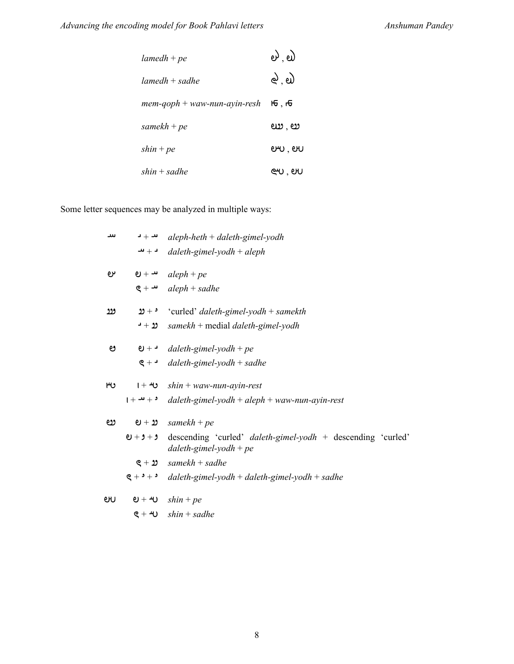| $lambda + pe$                  | ಲಿ . ಲ <mark>ಿ</mark>             |
|--------------------------------|-----------------------------------|
| $lambda + saddle$              | <u>ನಿ, ಲ</u> )                    |
| $mem-qoph + waw-nun-ayin-resh$ | $H\overline{G}$ , $H\overline{G}$ |
| samekh + $pe$                  | ಉ . ಅ                             |
| $\sinh + pe$                   | eru, eru                          |
| $shin + saddle$                | ev, ev                            |

Some letter sequences may be analyzed in multiple ways:

| سد  |             | $\rightarrow +$ aleph-heth + daleth-gimel-yodh                                               |
|-----|-------------|----------------------------------------------------------------------------------------------|
|     |             | $\rightarrow$ + → daleth-gimel-yodh + aleph                                                  |
| ىرە |             | $\mathbf{e}$ + $\mathbf{u}$ aleph + pe                                                       |
|     |             | $g + \rightarrow$ aleph + sadhe                                                              |
| روو | $20 + 3$    | 'curled' daleth-gimel-yodh + samekth                                                         |
|     | ∙ + צ       | $samekh + \text{median}$ daleth-gimel-yodh                                                   |
| ೮   |             | $\theta$ + $\theta$ daleth-gimel-yodh + pe                                                   |
|     |             | $\zeta$ + <b>d</b> daleth-gimel-yodh + sadhe                                                 |
| ۳υ  |             | $1 + 40$ shin + waw-nun-ayin-rest                                                            |
|     |             | $1 + 4 + 3$ daleth-gimel-yodh + aleph + waw-nun-ayin-rest                                    |
| ಲ   |             | $\mathbf{e} + \mathbf{v}$ samekh + pe                                                        |
|     | $Q + 9 + 9$ | descending 'curled' <i>daleth-gimel-yodh</i> + descending 'curled'<br>daleth-gimel-yodh + pe |
|     | $e + p$     | $samekh + saddle$                                                                            |
|     |             | $g + h$ daleth-gimel-yodh + daleth-gimel-yodh + sadhe                                        |
| ഩ   |             | $\theta$ + $\theta$ shin + pe                                                                |
|     |             | $g + 40 \quad \text{shin} + \text{ saddle}$                                                  |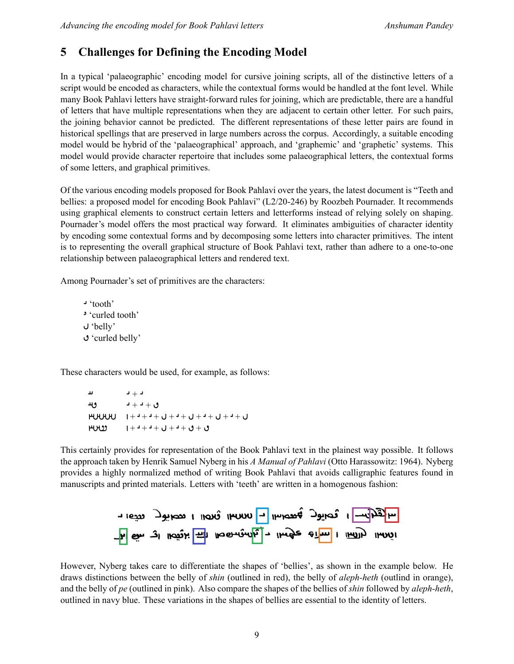### **5 Challenges for Defining the Encoding Model**

In a typical 'palaeographic' encoding model for cursive joining scripts, all of the distinctive letters of a script would be encoded as characters, while the contextual forms would be handled at the font level. While many Book Pahlavi letters have straight-forward rules for joining, which are predictable, there are a handful of letters that have multiple representations when they are adjacent to certain other letter. For such pairs, the joining behavior cannot be predicted. The different representations of these letter pairs are found in historical spellings that are preserved in large numbers across the corpus. Accordingly, a suitable encoding model would be hybrid of the 'palaeographical' approach, and 'graphemic' and 'graphetic' systems. This model would provide character repertoire that includes some palaeographical letters, the contextual forms of some letters, and graphical primitives.

Of the various encoding models proposed for Book Pahlavi over the years, the latest document is "Teeth and bellies: a proposed model for encoding Book Pahlavi" (L2/20-246) by Roozbeh Pournader. It recommends using graphical elements to construct certain letters and letterforms instead of relying solely on shaping. Pournader's model offers the most practical way forward. It eliminates ambiguities of character identity by encoding some contextual forms and by decomposing some letters into character primitives. The intent is to representing the overall graphical structure of Book Pahlavi text, rather than adhere to a one-to-one relationship between palaeographical letters and rendered text.

Among Pournader's set of primitives are the characters:

 'tooth' 'curled tooth' 'belly' 'curled belly'

These characters would be used, for example, as follows:

 +  $+$   $+$   $+$   $+$  + + + + + + + + + + + + + + +

This certainly provides for representation of the Book Pahlavi text in the plainest way possible. It follows the approach taken by Henrik Samuel Nyberg in his *A Manual of Pahlavi* (Otto Harassowitz: 1964). Nyberg provides a highly normalized method of writing Book Pahlavi that avoids calligraphic features found in manuscripts and printed materials. Letters with 'teeth' are written in a homogenous fashion:



However, Nyberg takes care to differentiate the shapes of 'bellies', as shown in the example below. He draws distinctions between the belly of *shin* (outlined in red), the belly of *aleph-heth* (outlind in orange), and the belly of *pe* (outlined in pink). Also compare the shapes of the bellies of *shin* followed by *aleph-heth*, outlined in navy blue. These variations in the shapes of bellies are essential to the identity of letters.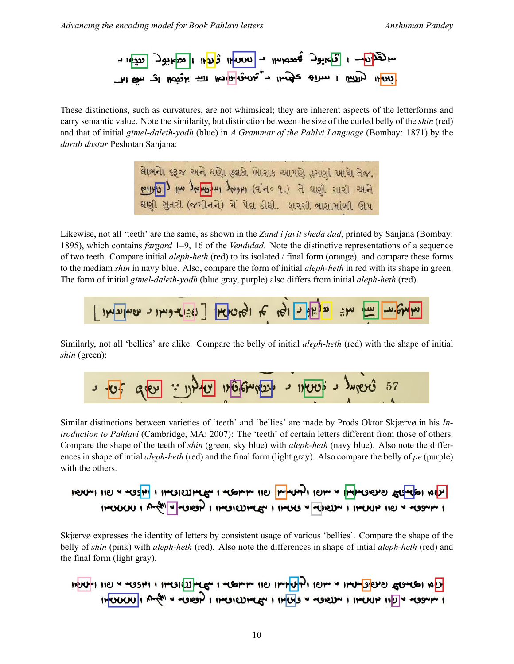

These distinctions, such as curvatures, are not whimsical; they are inherent aspects of the letterforms and carry semantic value. Note the similarity, but distinction between the size of the curled belly of the *shin* (red) and that of initial *gimel-daleth-yodh* (blue) in *A Grammar of the Pahlvi Language* (Bombay: 1871) by the *darab dastur* Peshotan Sanjana:

> લાેભનાે દરૂજ અને ઘણાે હલકાે ખાેરાક આપણે હમણાં ખાધાે તેજ. our l'our a lieus 5. (e o b ip) 1409 lutent un loure ઘણી સતરી (જમીનને) મેં પેદા કીધી. પ્રારંગી ભાગામાંળી ઊપ

Likewise, not all 'teeth' are the same, as shown in the *Zand i javit sheda dad*, printed by Sanjana (Bombay: 1895), which contains *fargard* 1–9, 16 of the *Vendidad*. Note the distinctive representations of a sequence of two teeth. Compare initial *aleph-heth* (red) to its isolated / final form (orange), and compare these forms to the mediam *shin* in navy blue. Also, compare the form of initial *aleph-heth* in red with its shape in green. The form of initial *gimel-daleth-yodh* (blue gray, purple) also differs from initial *aleph-heth* (red).



Similarly, not all 'bellies' are alike. Compare the belly of initial *aleph-heth* (red) with the shape of initial *shin* (green):

$$
3 - 32 = 3
$$

Similar distinctions between varieties of 'teeth' and 'bellies' are made by Prods Oktor Skjærvø in his *Introduction to Pahlavi* (Cambridge, MA: 2007): The 'teeth' of certain letters different from those of others. Compare the shape of the teeth of *shin* (green, sky blue) with *aleph-heth* (navy blue). Also note the differences in shape of intial *aleph-heth* (red) and the final form (light gray). Also compare the belly of *pe* (purple) with the others.

TON 1964 HOU HOU POUPLY I HOU PHONO I POWER I HOUSE IN THE TON I HOU PHONO IHOOCHU I ANGIVING I IHOICUME I IHOO V HORDH I IHOUH IIO V HOGHH I

Skjærvø expresses the identity of letters by consistent usage of various 'bellies'. Compare the shape of the belly of *shin* (pink) with *aleph-heth* (red). Also note the differences in shape of intial *aleph-heth* (red) and the final form (light gray).

INUTING TO THE STOP IT THANKS IT THE MITCH IT THE THE THE PIECE IN DITING IHOUUUII AMAI 4 MOREH I IHOILIHLE" I IHOID 4 MOREH I IHOUH IID 4 MOREH I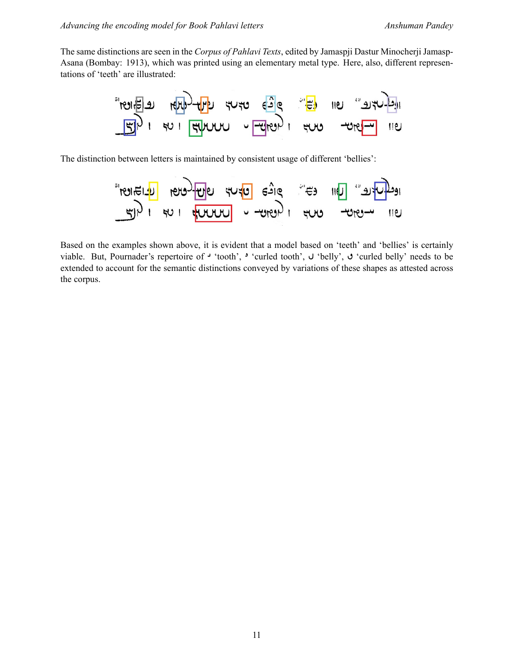The same distinctions are seen in the *Corpus of Pahlavi Texts*, edited by Jamaspji Dastur Minocherji Jamasp-Asana (Bombay: 1913), which was printed using an elementary metal type. Here, also, different representations of 'teeth' are illustrated:



The distinction between letters is maintained by consistent usage of different 'bellies':



Based on the examples shown above, it is evident that a model based on 'teeth' and 'bellies' is certainly viable. But, Pournader's repertoire of  $\cdot$  'tooth',  $\cdot$  'curled tooth',  $\cup$  'belly',  $\cup$  'curled belly' needs to be extended to account for the semantic distinctions conveyed by variations of these shapes as attested across the corpus.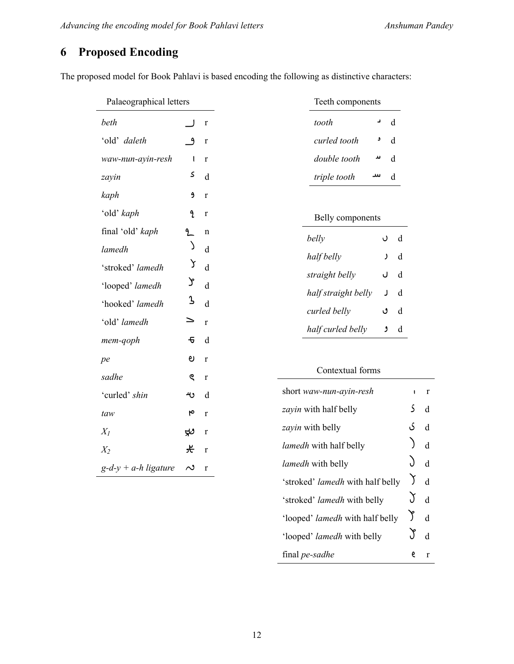'stroked' *lamedh* with belly  $\bigvee$  d

'looped' *lamedh* with half belly  $\int d$ 

'looped' *lamedh* with belly  $\int d$ 

final *pe-sadhe* e r

## **6 Proposed Encoding**

The proposed model for Book Pahlavi is based encoding the following as distinctive characters:

| Palaeographical letters |                     |              | Teeth components                        |              |             |
|-------------------------|---------------------|--------------|-----------------------------------------|--------------|-------------|
| beth                    |                     | $\mathbf r$  | $\mathbf d$<br>د<br>tooth               |              |             |
| 'old' daleth            | $\mathbf{a}$        | $\mathbf r$  | curled tooth<br>$\rm d$<br>و            |              |             |
| waw-nun-ayin-resh       | 1                   | $\mathbf{r}$ | double tooth<br>$\mathbf d$<br>ىد       |              |             |
| zayin                   | S                   | d            | triple tooth<br>سد<br>$\rm d$           |              |             |
| kaph                    | و                   | $\mathbf{r}$ |                                         |              |             |
| 'old' kaph              | L                   | $\mathbf r$  | Belly components                        |              |             |
| final 'old' kaph        | 2                   | $\mathbf n$  | belly<br>d<br>U                         |              |             |
| lamedh                  | )                   | d            | $\mathbf d$<br>half belly<br>J          |              |             |
| 'stroked' lamedh        | ነ                   | $\mathbf{d}$ | straight belly<br>d<br>J                |              |             |
| 'looped' lamedh         | Y                   | $\mathbf{d}$ | half straight belly<br>$\mathbf d$<br>J |              |             |
| 'hooked' lamedh         | λ                   | $\mathbf{d}$ | curled belly<br>d<br>ٯ                  |              |             |
| 'old' lamedh            | ⇒                   | $\mathbf{r}$ | $\rm d$<br>ۯ                            |              |             |
| mem-qoph                | $\overline{\sigma}$ | d            | half curled belly                       |              |             |
| pe                      | ಲ                   | $\mathbf{r}$ |                                         |              |             |
| sadhe                   | ୧                   | $\mathbf r$  | Contextual forms                        |              |             |
| 'curled' shin           | ىە                  | d            | short waw-nun-ayin-resh                 | $\mathbf{I}$ | $\mathbf r$ |
| taw                     | ٩                   | $\mathbf r$  | zayin with half belly                   | S            | $\mathbf d$ |
| $X_I$                   | $\approx$           | $\mathbf r$  | zayin with belly                        | ى            | $\rm d$     |
| $X_2$                   | 仧                   | $\mathbf{r}$ | lamedh with half belly                  |              | $\mathbf d$ |
| $g-d-y + a-h$ ligature  | $\sim$              | r            | lamedh with belly                       |              | $\mathbf d$ |
|                         |                     |              | 'stroked' lamedh with half belly        | J            | $\mathbf d$ |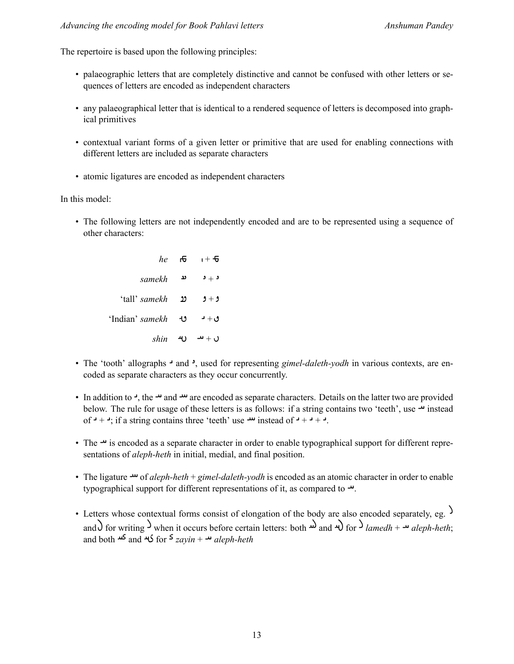The repertoire is based upon the following principles:

- palaeographic letters that are completely distinctive and cannot be confused with other letters or sequences of letters are encoded as independent characters
- any palaeographical letter that is identical to a rendered sequence of letters is decomposed into graphical primitives
- contextual variant forms of a given letter or primitive that are used for enabling connections with different letters are included as separate characters
- atomic ligatures are encoded as independent characters

In this model:

• The following letters are not independently encoded and are to be represented using a sequence of other characters:

| he                      | ਾਦ | i + £             |
|-------------------------|----|-------------------|
| samekh                  | ئد | $\cdot$ د $\cdot$ |
| 'tall' <i>samekh</i> נב |    | $9 + 9$           |
| 'Indian' samekh せ       |    | ق + د             |
| shin 40                 |    | $u + u$           |

- The 'tooth' allographs <sup>1</sup> and <sup>2</sup>, used for representing *gimel-daleth-yodh* in various contexts, are encoded as separate characters as they occur concurrently.
- In addition to  $\rightarrow$ , the  $\rightarrow$  and  $\rightarrow$  are encoded as separate characters. Details on the latter two are provided below. The rule for usage of these letters is as follows: if a string contains two 'teeth', use  $\rightarrow$  instead of  $-$  +  $-$ ; if a string contains three 'teeth' use  $-$  instead of  $-$  +  $-$  +  $-$ .
- The  $\rightarrow$  is encoded as a separate character in order to enable typographical support for different representations of *aleph-heth* in initial, medial, and final position.
- The ligature  $\rightarrow$  of *aleph-heth* + *gimel-daleth-yodh* is encoded as an atomic character in order to enable typographical support for different representations of it, as compared to  $\cdot$ .
- Letters whose contextual forms consist of elongation of the body are also encoded separately, eg.  $\mathcal{S}$ and) for writing  $\lambda$  when it occurs before certain letters: both  $\omega$  and  $\lambda$  for  $\lambda$  *lamedh* +  $\omega$  *aleph-heth*; and both and for *zayin* + *aleph-heth*